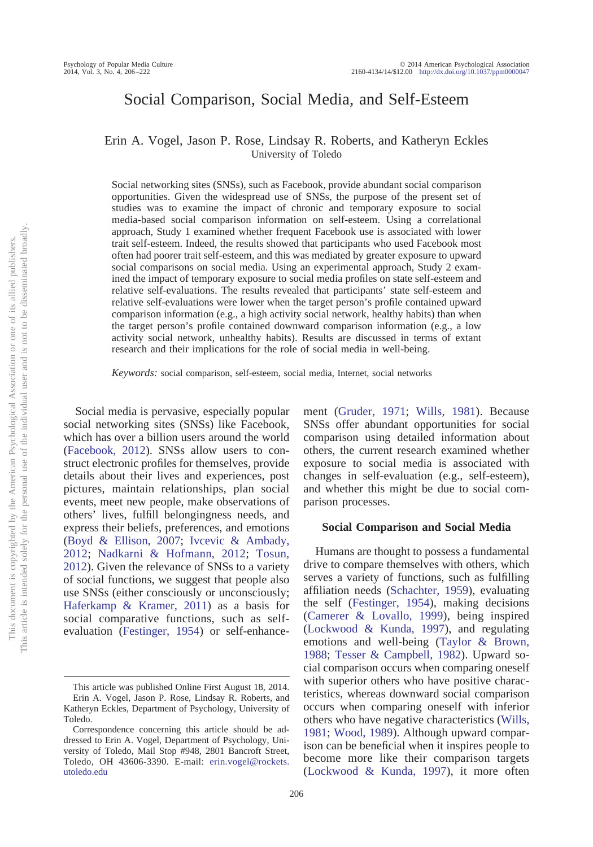# Social Comparison, Social Media, and Self-Esteem

Erin A. Vogel, Jason P. Rose, Lindsay R. Roberts, and Katheryn Eckles University of Toledo

Social networking sites (SNSs), such as Facebook, provide abundant social comparison opportunities. Given the widespread use of SNSs, the purpose of the present set of studies was to examine the impact of chronic and temporary exposure to social media-based social comparison information on self-esteem. Using a correlational approach, Study 1 examined whether frequent Facebook use is associated with lower trait self-esteem. Indeed, the results showed that participants who used Facebook most often had poorer trait self-esteem, and this was mediated by greater exposure to upward social comparisons on social media. Using an experimental approach, Study 2 examined the impact of temporary exposure to social media profiles on state self-esteem and relative self-evaluations. The results revealed that participants' state self-esteem and relative self-evaluations were lower when the target person's profile contained upward comparison information (e.g., a high activity social network, healthy habits) than when the target person's profile contained downward comparison information (e.g., a low activity social network, unhealthy habits). Results are discussed in terms of extant research and their implications for the role of social media in well-being.

*Keywords:* social comparison, self-esteem, social media, Internet, social networks

Social media is pervasive, especially popular social networking sites (SNSs) like Facebook, which has over a billion users around the world [\(Facebook, 2012\)](#page-14-0). SNSs allow users to construct electronic profiles for themselves, provide details about their lives and experiences, post pictures, maintain relationships, plan social events, meet new people, make observations of others' lives, fulfill belongingness needs, and express their beliefs, preferences, and emotions [\(Boyd & Ellison, 2007;](#page-14-1) [Ivcevic & Ambady,](#page-15-0) [2012;](#page-15-0) [Nadkarni & Hofmann, 2012;](#page-15-1) [Tosun,](#page-16-0) [2012\)](#page-16-0). Given the relevance of SNSs to a variety of social functions, we suggest that people also use SNSs (either consciously or unconsciously; [Haferkamp & Kramer, 2011\)](#page-14-2) as a basis for social comparative functions, such as selfevaluation [\(Festinger, 1954\)](#page-14-3) or self-enhancement [\(Gruder, 1971;](#page-14-4) [Wills, 1981\)](#page-16-1). Because SNSs offer abundant opportunities for social comparison using detailed information about others, the current research examined whether exposure to social media is associated with changes in self-evaluation (e.g., self-esteem), and whether this might be due to social comparison processes.

# **Social Comparison and Social Media**

Humans are thought to possess a fundamental drive to compare themselves with others, which serves a variety of functions, such as fulfilling affiliation needs [\(Schachter, 1959\)](#page-16-2), evaluating the self [\(Festinger, 1954\)](#page-14-3), making decisions [\(Camerer & Lovallo, 1999\)](#page-14-5), being inspired [\(Lockwood & Kunda, 1997\)](#page-15-2), and regulating emotions and well-being [\(Taylor & Brown,](#page-16-3) [1988;](#page-16-3) [Tesser & Campbell, 1982\)](#page-16-4). Upward social comparison occurs when comparing oneself with superior others who have positive characteristics, whereas downward social comparison occurs when comparing oneself with inferior others who have negative characteristics [\(Wills,](#page-16-1) [1981;](#page-16-1) [Wood, 1989\)](#page-16-5). Although upward comparison can be beneficial when it inspires people to become more like their comparison targets [\(Lockwood & Kunda, 1997\)](#page-15-2), it more often

This article was published Online First August 18, 2014. Erin A. Vogel, Jason P. Rose, Lindsay R. Roberts, and Katheryn Eckles, Department of Psychology, University of Toledo.

Correspondence concerning this article should be addressed to Erin A. Vogel, Department of Psychology, University of Toledo, Mail Stop #948, 2801 Bancroft Street, Toledo, OH 43606-3390. E-mail: [erin.vogel@rockets.](mailto:erin.vogel@rockets.utoledo.edu) [utoledo.edu](mailto:erin.vogel@rockets.utoledo.edu)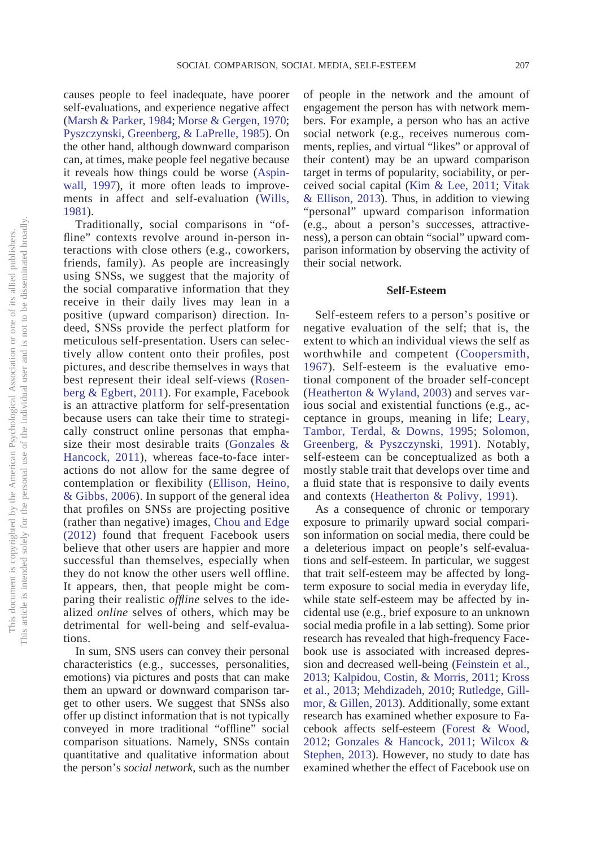causes people to feel inadequate, have poorer self-evaluations, and experience negative affect [\(Marsh & Parker, 1984;](#page-15-3) [Morse & Gergen, 1970;](#page-15-4) [Pyszczynski, Greenberg, & LaPrelle, 1985\)](#page-15-5). On the other hand, although downward comparison can, at times, make people feel negative because it reveals how things could be worse [\(Aspin](#page-14-6)[wall, 1997\)](#page-14-6), it more often leads to improvements in affect and self-evaluation [\(Wills,](#page-16-1) [1981\)](#page-16-1).

Traditionally, social comparisons in "offline" contexts revolve around in-person interactions with close others (e.g., coworkers, friends, family). As people are increasingly using SNSs, we suggest that the majority of the social comparative information that they receive in their daily lives may lean in a positive (upward comparison) direction. Indeed, SNSs provide the perfect platform for meticulous self-presentation. Users can selectively allow content onto their profiles, post pictures, and describe themselves in ways that best represent their ideal self-views [\(Rosen](#page-15-6)[berg & Egbert, 2011\)](#page-15-6). For example, Facebook is an attractive platform for self-presentation because users can take their time to strategically construct online personas that emphasize their most desirable traits [\(Gonzales &](#page-14-7) [Hancock, 2011\)](#page-14-7), whereas face-to-face interactions do not allow for the same degree of contemplation or flexibility [\(Ellison, Heino,](#page-14-8) [& Gibbs, 2006\)](#page-14-8). In support of the general idea that profiles on SNSs are projecting positive (rather than negative) images, [Chou and Edge](#page-14-9) [\(2012\)](#page-14-9) found that frequent Facebook users believe that other users are happier and more successful than themselves, especially when they do not know the other users well offline. It appears, then, that people might be comparing their realistic *offline* selves to the idealized *online* selves of others, which may be detrimental for well-being and self-evaluations.

In sum, SNS users can convey their personal characteristics (e.g., successes, personalities, emotions) via pictures and posts that can make them an upward or downward comparison target to other users. We suggest that SNSs also offer up distinct information that is not typically conveyed in more traditional "offline" social comparison situations. Namely, SNSs contain quantitative and qualitative information about the person's *social network*, such as the number of people in the network and the amount of engagement the person has with network members. For example, a person who has an active social network (e.g., receives numerous comments, replies, and virtual "likes" or approval of their content) may be an upward comparison target in terms of popularity, sociability, or perceived social capital [\(Kim & Lee, 2011;](#page-15-7) [Vitak](#page-16-6) [& Ellison, 2013\)](#page-16-6). Thus, in addition to viewing "personal" upward comparison information (e.g., about a person's successes, attractiveness), a person can obtain "social" upward comparison information by observing the activity of their social network.

# **Self-Esteem**

Self-esteem refers to a person's positive or negative evaluation of the self; that is, the extent to which an individual views the self as worthwhile and competent [\(Coopersmith,](#page-14-10) [1967\)](#page-14-10). Self-esteem is the evaluative emotional component of the broader self-concept [\(Heatherton & Wyland, 2003\)](#page-15-8) and serves various social and existential functions (e.g., acceptance in groups, meaning in life; [Leary,](#page-15-9) [Tambor, Terdal, & Downs, 1995;](#page-15-9) [Solomon,](#page-16-7) [Greenberg, & Pyszczynski, 1991\)](#page-16-7). Notably, self-esteem can be conceptualized as both a mostly stable trait that develops over time and a fluid state that is responsive to daily events and contexts [\(Heatherton & Polivy, 1991\)](#page-15-10).

As a consequence of chronic or temporary exposure to primarily upward social comparison information on social media, there could be a deleterious impact on people's self-evaluations and self-esteem. In particular, we suggest that trait self-esteem may be affected by longterm exposure to social media in everyday life, while state self-esteem may be affected by incidental use (e.g., brief exposure to an unknown social media profile in a lab setting). Some prior research has revealed that high-frequency Facebook use is associated with increased depression and decreased well-being [\(Feinstein et al.,](#page-14-11) [2013;](#page-14-11) [Kalpidou, Costin, & Morris, 2011;](#page-15-11) [Kross](#page-15-12) [et al., 2013;](#page-15-12) [Mehdizadeh, 2010;](#page-15-13) [Rutledge, Gill](#page-15-14)[mor, & Gillen, 2013\)](#page-15-14). Additionally, some extant research has examined whether exposure to Facebook affects self-esteem [\(Forest & Wood,](#page-14-12) [2012;](#page-14-12) [Gonzales & Hancock, 2011;](#page-14-7) [Wilcox &](#page-16-8) [Stephen, 2013\)](#page-16-8). However, no study to date has examined whether the effect of Facebook use on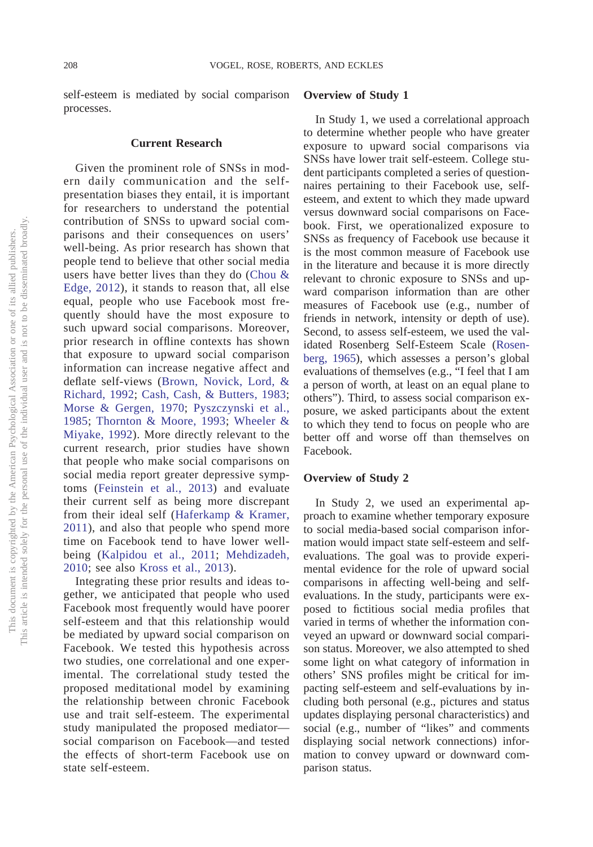self-esteem is mediated by social comparison processes.

#### **Current Research**

Given the prominent role of SNSs in modern daily communication and the selfpresentation biases they entail, it is important for researchers to understand the potential contribution of SNSs to upward social comparisons and their consequences on users' well-being. As prior research has shown that people tend to believe that other social media users have better lives than they do [\(Chou &](#page-14-9) [Edge, 2012\)](#page-14-9), it stands to reason that, all else equal, people who use Facebook most frequently should have the most exposure to such upward social comparisons. Moreover, prior research in offline contexts has shown that exposure to upward social comparison information can increase negative affect and deflate self-views [\(Brown, Novick, Lord, &](#page-14-13) [Richard, 1992;](#page-14-13) [Cash, Cash, & Butters, 1983;](#page-14-14) [Morse & Gergen, 1970;](#page-15-4) [Pyszczynski et al.,](#page-15-5) [1985;](#page-15-5) [Thornton & Moore, 1993;](#page-16-9) [Wheeler &](#page-16-10) [Miyake, 1992\)](#page-16-10). More directly relevant to the current research, prior studies have shown that people who make social comparisons on social media report greater depressive symptoms [\(Feinstein et al., 2013\)](#page-14-11) and evaluate their current self as being more discrepant from their ideal self [\(Haferkamp & Kramer,](#page-14-2) [2011\)](#page-14-2), and also that people who spend more time on Facebook tend to have lower wellbeing [\(Kalpidou et al., 2011;](#page-15-11) [Mehdizadeh,](#page-15-13) [2010;](#page-15-13) see also [Kross et al., 2013\)](#page-15-12).

Integrating these prior results and ideas together, we anticipated that people who used Facebook most frequently would have poorer self-esteem and that this relationship would be mediated by upward social comparison on Facebook. We tested this hypothesis across two studies, one correlational and one experimental. The correlational study tested the proposed meditational model by examining the relationship between chronic Facebook use and trait self-esteem. The experimental study manipulated the proposed mediator social comparison on Facebook—and tested the effects of short-term Facebook use on state self-esteem.

### **Overview of Study 1**

In Study 1, we used a correlational approach to determine whether people who have greater exposure to upward social comparisons via SNSs have lower trait self-esteem. College student participants completed a series of questionnaires pertaining to their Facebook use, selfesteem, and extent to which they made upward versus downward social comparisons on Facebook. First, we operationalized exposure to SNSs as frequency of Facebook use because it is the most common measure of Facebook use in the literature and because it is more directly relevant to chronic exposure to SNSs and upward comparison information than are other measures of Facebook use (e.g., number of friends in network, intensity or depth of use). Second, to assess self-esteem, we used the validated Rosenberg Self-Esteem Scale [\(Rosen](#page-15-15)[berg, 1965\)](#page-15-15), which assesses a person's global evaluations of themselves (e.g., "I feel that I am a person of worth, at least on an equal plane to others"). Third, to assess social comparison exposure, we asked participants about the extent to which they tend to focus on people who are better off and worse off than themselves on Facebook.

# **Overview of Study 2**

In Study 2, we used an experimental approach to examine whether temporary exposure to social media-based social comparison information would impact state self-esteem and selfevaluations. The goal was to provide experimental evidence for the role of upward social comparisons in affecting well-being and selfevaluations. In the study, participants were exposed to fictitious social media profiles that varied in terms of whether the information conveyed an upward or downward social comparison status. Moreover, we also attempted to shed some light on what category of information in others' SNS profiles might be critical for impacting self-esteem and self-evaluations by including both personal (e.g., pictures and status updates displaying personal characteristics) and social (e.g., number of "likes" and comments displaying social network connections) information to convey upward or downward comparison status.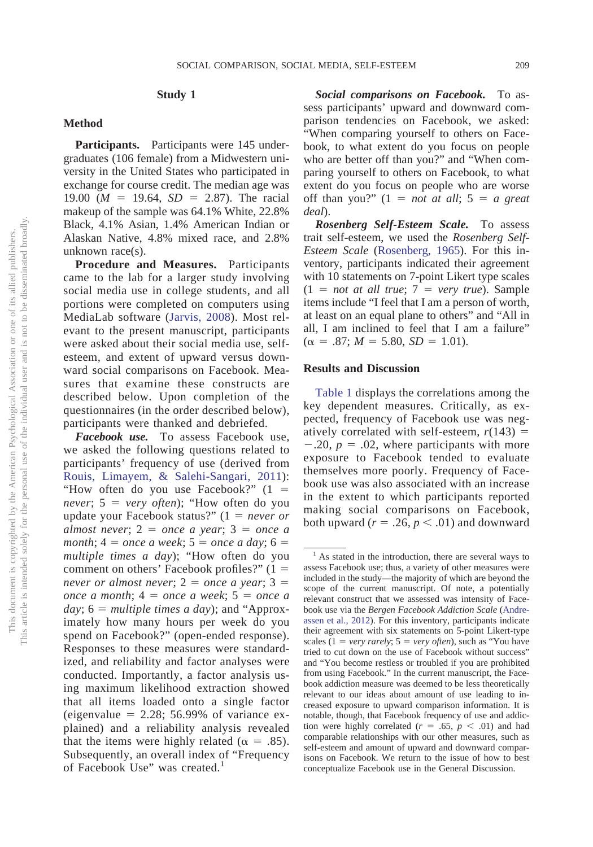### **Study 1**

### **Method**

**Participants.** Participants were 145 undergraduates (106 female) from a Midwestern university in the United States who participated in exchange for course credit. The median age was 19.00 ( $M = 19.64$ ,  $SD = 2.87$ ). The racial makeup of the sample was 64.1% White, 22.8% Black, 4.1% Asian, 1.4% American Indian or Alaskan Native, 4.8% mixed race, and 2.8% unknown race(s).

**Procedure and Measures.** Participants came to the lab for a larger study involving social media use in college students, and all portions were completed on computers using MediaLab software [\(Jarvis, 2008\)](#page-15-16). Most relevant to the present manuscript, participants were asked about their social media use, selfesteem, and extent of upward versus downward social comparisons on Facebook. Measures that examine these constructs are described below. Upon completion of the questionnaires (in the order described below), participants were thanked and debriefed.

*Facebook use.* To assess Facebook use, we asked the following questions related to participants' frequency of use (derived from [Rouis, Limayem, & Salehi-Sangari, 2011\)](#page-15-17): "How often do you use Facebook?"  $(1 =$ *never*;  $5 = very often$ ; "How often do you update your Facebook status?"  $(1 = never or$  $almost never; 2 = once a year; 3 = once a$  $month; 4 = once a week; 5 = once a day; 6 =$ *multiple times a day*); "How often do you comment on others' Facebook profiles?"  $(1 =$  $never or almost never; 2 = once a year; 3 =$  $\omega$ *once a month*;  $4 =$  *once a week*;  $5 =$  *once a* day;  $6 = \text{multiple times a day}$ ; and "Approximately how many hours per week do you spend on Facebook?" (open-ended response). Responses to these measures were standardized, and reliability and factor analyses were conducted. Importantly, a factor analysis using maximum likelihood extraction showed that all items loaded onto a single factor (eigenvalue  $= 2.28$ ; 56.99% of variance explained) and a reliability analysis revealed that the items were highly related ( $\alpha = .85$ ). Subsequently, an overall index of "Frequency of Facebook Use" was created.<sup>1</sup>

*Social comparisons on Facebook.* To assess participants' upward and downward comparison tendencies on Facebook, we asked: "When comparing yourself to others on Facebook, to what extent do you focus on people who are better off than you?" and "When comparing yourself to others on Facebook, to what extent do you focus on people who are worse off than you?"  $(1 = not at all; 5 = a great)$ *deal*).

*Rosenberg Self-Esteem Scale.* To assess trait self-esteem, we used the *Rosenberg Self-Esteem Scale* [\(Rosenberg, 1965\)](#page-15-15). For this inventory, participants indicated their agreement with 10 statements on 7-point Likert type scales  $(1 = not at all true; 7 = very true)$ . Sample items include "I feel that I am a person of worth, at least on an equal plane to others" and "All in all, I am inclined to feel that I am a failure"  $(\alpha = .87; M = 5.80, SD = 1.01).$ 

# **Results and Discussion**

[Table 1](#page-4-0) displays the correlations among the key dependent measures. Critically, as expected, frequency of Facebook use was negatively correlated with self-esteem,  $r(143)$  =  $-.20, p = .02$ , where participants with more exposure to Facebook tended to evaluate themselves more poorly. Frequency of Facebook use was also associated with an increase in the extent to which participants reported making social comparisons on Facebook, both upward ( $r = .26$ ,  $p < .01$ ) and downward

<sup>&</sup>lt;sup>1</sup> As stated in the introduction, there are several ways to assess Facebook use; thus, a variety of other measures were included in the study—the majority of which are beyond the scope of the current manuscript. Of note, a potentially relevant construct that we assessed was intensity of Facebook use via the *Bergen Facebook Addiction Scale* [\(Andre](#page-14-15)[assen et al., 2012\)](#page-14-15). For this inventory, participants indicate their agreement with six statements on 5-point Likert-type scales  $(1 = \text{very rarely}; 5 = \text{very often})$ , such as "You have tried to cut down on the use of Facebook without success" and "You become restless or troubled if you are prohibited from using Facebook." In the current manuscript, the Facebook addiction measure was deemed to be less theoretically relevant to our ideas about amount of use leading to increased exposure to upward comparison information. It is notable, though, that Facebook frequency of use and addiction were highly correlated ( $r = .65$ ,  $p < .01$ ) and had comparable relationships with our other measures, such as self-esteem and amount of upward and downward comparisons on Facebook. We return to the issue of how to best conceptualize Facebook use in the General Discussion.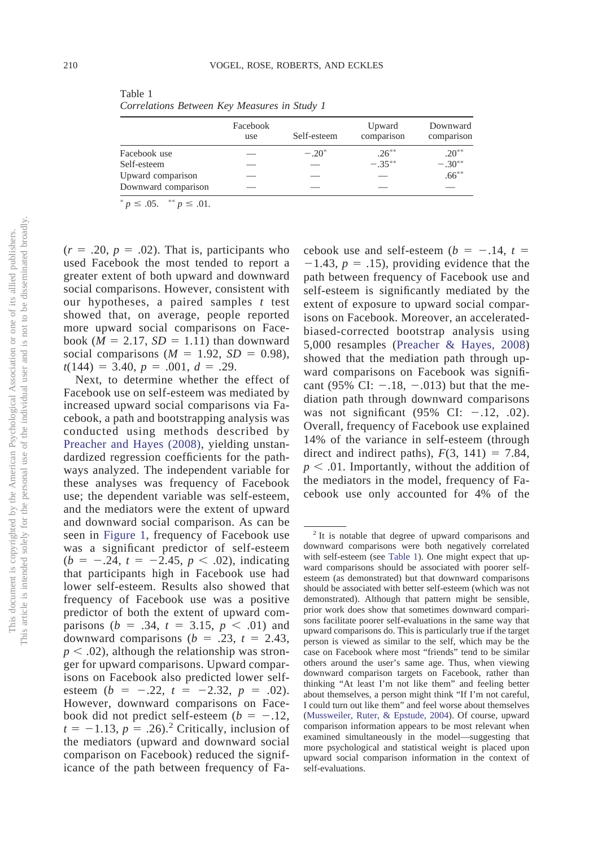<span id="page-4-0"></span>Table 1 *Correlations Between Key Measures in Study 1*

|                     | Facebook<br>use | Self-esteem | Upward<br>comparison | Downward<br>comparison |  |
|---------------------|-----------------|-------------|----------------------|------------------------|--|
| Facebook use        |                 | $-.20^*$    | $.26***$             | $.20***$               |  |
| Self-esteem         |                 |             | $-35**$              | $-.30***$              |  |
| Upward comparison   |                 |             |                      | $.66***$               |  |
| Downward comparison |                 |             |                      |                        |  |

 $p \leq .05.$  \*\*  $p \leq .01.$ 

 $(r = .20, p = .02)$ . That is, participants who used Facebook the most tended to report a greater extent of both upward and downward social comparisons. However, consistent with our hypotheses, a paired samples *t* test showed that, on average, people reported more upward social comparisons on Facebook ( $M = 2.17$ ,  $SD = 1.11$ ) than downward social comparisons  $(M = 1.92, SD = 0.98)$ ,  $t(144) = 3.40, p = .001, d = .29.$ 

Next, to determine whether the effect of Facebook use on self-esteem was mediated by increased upward social comparisons via Facebook, a path and bootstrapping analysis was conducted using methods described by [Preacher and Hayes \(2008\),](#page-15-18) yielding unstandardized regression coefficients for the pathways analyzed. The independent variable for these analyses was frequency of Facebook use; the dependent variable was self-esteem, and the mediators were the extent of upward and downward social comparison. As can be seen in [Figure 1,](#page-5-0) frequency of Facebook use was a significant predictor of self-esteem  $(b = -.24, t = -2.45, p < .02)$ , indicating that participants high in Facebook use had lower self-esteem. Results also showed that frequency of Facebook use was a positive predictor of both the extent of upward comparisons  $(b = .34, t = 3.15, p < .01)$  and downward comparisons  $(b = .23, t = 2.43,$  $p < .02$ ), although the relationship was stronger for upward comparisons. Upward comparisons on Facebook also predicted lower selfesteem  $(b = -.22, t = -2.32, p = .02)$ . However, downward comparisons on Facebook did not predict self-esteem  $(b = -.12,$  $t = -1.13$ ,  $p = .26$ ).<sup>2</sup> Critically, inclusion of the mediators (upward and downward social comparison on Facebook) reduced the significance of the path between frequency of Fa-

cebook use and self-esteem ( $b = -.14$ ,  $t =$  $-1.43$ ,  $p = .15$ ), providing evidence that the path between frequency of Facebook use and self-esteem is significantly mediated by the extent of exposure to upward social comparisons on Facebook. Moreover, an acceleratedbiased-corrected bootstrap analysis using 5,000 resamples [\(Preacher & Hayes, 2008\)](#page-15-18) showed that the mediation path through upward comparisons on Facebook was significant (95% CI:  $-.18, -.013$ ) but that the mediation path through downward comparisons was not significant  $(95\% \text{ CI: } -.12, .02)$ . Overall, frequency of Facebook use explained 14% of the variance in self-esteem (through direct and indirect paths),  $F(3, 141) = 7.84$ ,  $p < .01$ . Importantly, without the addition of the mediators in the model, frequency of Facebook use only accounted for 4% of the

<sup>2</sup> It is notable that degree of upward comparisons and downward comparisons were both negatively correlated with self-esteem (see [Table 1\)](#page-4-0). One might expect that upward comparisons should be associated with poorer selfesteem (as demonstrated) but that downward comparisons should be associated with better self-esteem (which was not demonstrated). Although that pattern might be sensible, prior work does show that sometimes downward comparisons facilitate poorer self-evaluations in the same way that upward comparisons do. This is particularly true if the target person is viewed as similar to the self, which may be the case on Facebook where most "friends" tend to be similar others around the user's same age. Thus, when viewing downward comparison targets on Facebook, rather than thinking "At least I'm not like them" and feeling better about themselves, a person might think "If I'm not careful, I could turn out like them" and feel worse about themselves [\(Mussweiler, Ruter, & Epstude, 2004\)](#page-15-19). Of course, upward comparison information appears to be most relevant when examined simultaneously in the model—suggesting that more psychological and statistical weight is placed upon upward social comparison information in the context of self-evaluations.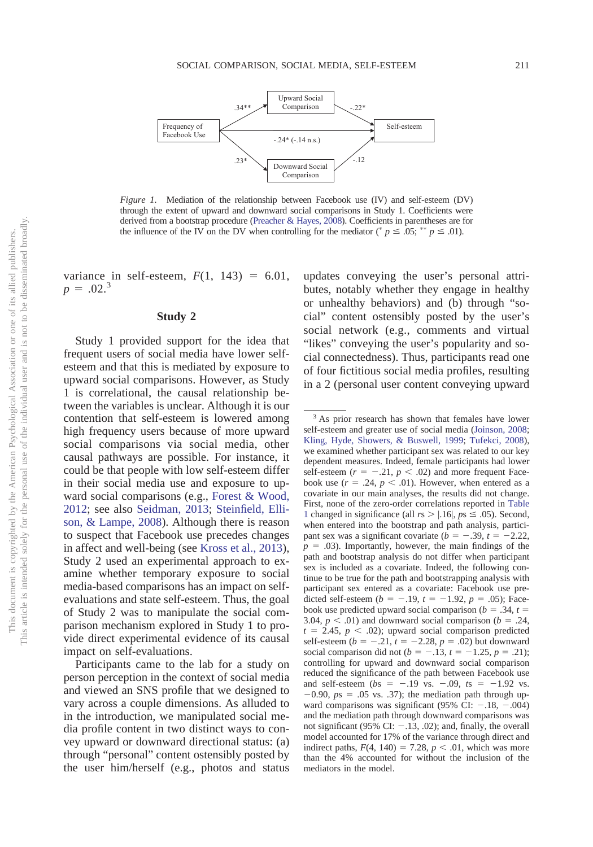

<span id="page-5-0"></span>*Figure 1.* Mediation of the relationship between Facebook use (IV) and self-esteem (DV) through the extent of upward and downward social comparisons in Study 1. Coefficients were derived from a bootstrap procedure [\(Preacher & Hayes, 2008\)](#page-15-18). Coefficients in parentheses are for the influence of the IV on the DV when controlling for the mediator ( $p \le 0.05$ ; \*\*  $p \le 0.01$ ).

variance in self-esteem,  $F(1, 143) = 6.01$ ,  $p = .02.^3$ 

#### **Study 2**

Study 1 provided support for the idea that frequent users of social media have lower selfesteem and that this is mediated by exposure to upward social comparisons. However, as Study 1 is correlational, the causal relationship between the variables is unclear. Although it is our contention that self-esteem is lowered among high frequency users because of more upward social comparisons via social media, other causal pathways are possible. For instance, it could be that people with low self-esteem differ in their social media use and exposure to upward social comparisons (e.g., [Forest & Wood,](#page-14-12) [2012;](#page-14-12) see also [Seidman, 2013;](#page-16-11) [Steinfield, Elli](#page-16-12)[son, & Lampe, 2008\)](#page-16-12). Although there is reason to suspect that Facebook use precedes changes in affect and well-being (see [Kross et al., 2013\)](#page-15-12), Study 2 used an experimental approach to examine whether temporary exposure to social media-based comparisons has an impact on selfevaluations and state self-esteem. Thus, the goal of Study 2 was to manipulate the social comparison mechanism explored in Study 1 to provide direct experimental evidence of its causal impact on self-evaluations.

Participants came to the lab for a study on person perception in the context of social media and viewed an SNS profile that we designed to vary across a couple dimensions. As alluded to in the introduction, we manipulated social media profile content in two distinct ways to convey upward or downward directional status: (a) through "personal" content ostensibly posted by the user him/herself (e.g., photos and status

updates conveying the user's personal attributes, notably whether they engage in healthy or unhealthy behaviors) and (b) through "social" content ostensibly posted by the user's social network (e.g., comments and virtual "likes" conveying the user's popularity and social connectedness). Thus, participants read one of four fictitious social media profiles, resulting in a 2 (personal user content conveying upward

<sup>3</sup> As prior research has shown that females have lower self-esteem and greater use of social media [\(Joinson, 2008;](#page-15-20) [Kling, Hyde, Showers, & Buswell, 1999;](#page-15-21) [Tufekci, 2008\)](#page-16-13), we examined whether participant sex was related to our key dependent measures. Indeed, female participants had lower self-esteem  $(r = -.21, p < .02)$  and more frequent Facebook use  $(r = .24, p < .01)$ . However, when entered as a covariate in our main analyses, the results did not change. First, none of the zero-order correlations reported in [Table](#page-4-0) [1](#page-4-0) changed in significance (all  $rs$  > |.16|,  $ps \leq .05$ ). Second, when entered into the bootstrap and path analysis, participant sex was a significant covariate  $(b = -.39, t = -2.22,$  $p = .03$ ). Importantly, however, the main findings of the path and bootstrap analysis do not differ when participant sex is included as a covariate. Indeed, the following continue to be true for the path and bootstrapping analysis with participant sex entered as a covariate: Facebook use predicted self-esteem  $(b = -.19, t = -1.92, p = .05)$ ; Facebook use predicted upward social comparison ( $b = .34$ ,  $t =$ 3.04,  $p < .01$ ) and downward social comparison ( $b = .24$ ,  $t = 2.45$ ,  $p < .02$ ); upward social comparison predicted self-esteem  $(b = -.21, t = -2.28, p = .02)$  but downward social comparison did not ( $b = -.13$ ,  $t = -1.25$ ,  $p = .21$ ); controlling for upward and downward social comparison reduced the significance of the path between Facebook use and self-esteem  $(bs = -.19 \text{ vs. } -.09, ts = -1.92 \text{ vs. }$  $-0.90$ ,  $ps = .05$  vs. .37); the mediation path through upward comparisons was significant (95% CI:  $-.18, -.004$ ) and the mediation path through downward comparisons was not significant (95% CI:  $-.13, .02$ ); and, finally, the overall model accounted for 17% of the variance through direct and indirect paths,  $F(4, 140) = 7.28$ ,  $p < .01$ , which was more than the 4% accounted for without the inclusion of the mediators in the model.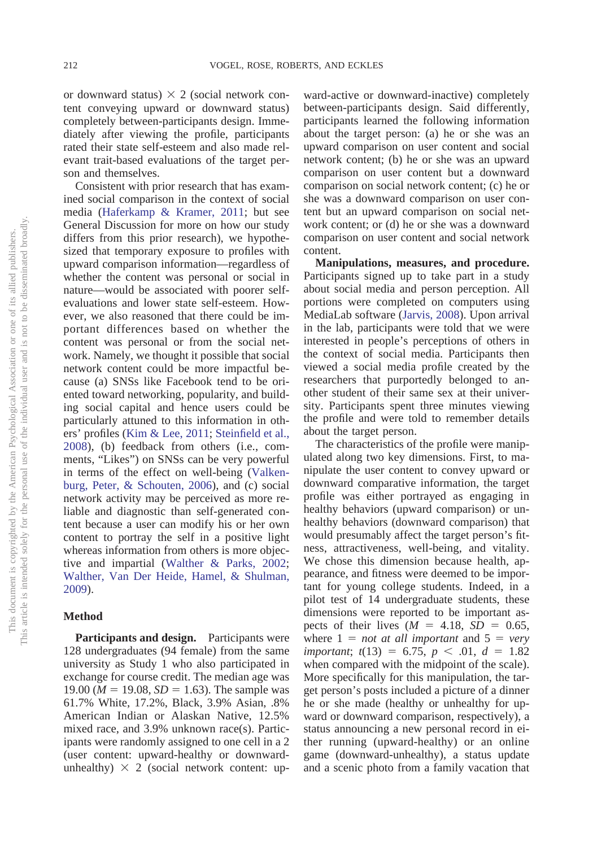or downward status)  $\times$  2 (social network content conveying upward or downward status) completely between-participants design. Immediately after viewing the profile, participants rated their state self-esteem and also made relevant trait-based evaluations of the target person and themselves.

Consistent with prior research that has examined social comparison in the context of social media [\(Haferkamp & Kramer, 2011;](#page-14-2) but see General Discussion for more on how our study differs from this prior research), we hypothesized that temporary exposure to profiles with upward comparison information—regardless of whether the content was personal or social in nature—would be associated with poorer selfevaluations and lower state self-esteem. However, we also reasoned that there could be important differences based on whether the content was personal or from the social network. Namely, we thought it possible that social network content could be more impactful because (a) SNSs like Facebook tend to be oriented toward networking, popularity, and building social capital and hence users could be particularly attuned to this information in others' profiles [\(Kim & Lee, 2011;](#page-15-7) [Steinfield et al.,](#page-16-12) [2008\)](#page-16-12), (b) feedback from others (i.e., comments, "Likes") on SNSs can be very powerful in terms of the effect on well-being [\(Valken](#page-16-14)[burg, Peter, & Schouten, 2006\)](#page-16-14), and (c) social network activity may be perceived as more reliable and diagnostic than self-generated content because a user can modify his or her own content to portray the self in a positive light whereas information from others is more objective and impartial [\(Walther & Parks, 2002;](#page-16-15) [Walther, Van Der Heide, Hamel, & Shulman,](#page-16-16) [2009\)](#page-16-16).

# **Method**

**Participants and design.** Participants were 128 undergraduates (94 female) from the same university as Study 1 who also participated in exchange for course credit. The median age was 19.00 ( $M = 19.08$ ,  $SD = 1.63$ ). The sample was 61.7% White, 17.2%, Black, 3.9% Asian, .8% American Indian or Alaskan Native, 12.5% mixed race, and 3.9% unknown race(s). Participants were randomly assigned to one cell in a 2 (user content: upward-healthy or downwardunhealthy)  $\times$  2 (social network content: up-

ward-active or downward-inactive) completely between-participants design. Said differently, participants learned the following information about the target person: (a) he or she was an upward comparison on user content and social network content; (b) he or she was an upward comparison on user content but a downward comparison on social network content; (c) he or she was a downward comparison on user content but an upward comparison on social network content; or (d) he or she was a downward comparison on user content and social network content.

**Manipulations, measures, and procedure.** Participants signed up to take part in a study about social media and person perception. All portions were completed on computers using MediaLab software [\(Jarvis, 2008\)](#page-15-16). Upon arrival in the lab, participants were told that we were interested in people's perceptions of others in the context of social media. Participants then viewed a social media profile created by the researchers that purportedly belonged to another student of their same sex at their university. Participants spent three minutes viewing the profile and were told to remember details about the target person.

The characteristics of the profile were manipulated along two key dimensions. First, to manipulate the user content to convey upward or downward comparative information, the target profile was either portrayed as engaging in healthy behaviors (upward comparison) or unhealthy behaviors (downward comparison) that would presumably affect the target person's fitness, attractiveness, well-being, and vitality. We chose this dimension because health, appearance, and fitness were deemed to be important for young college students. Indeed, in a pilot test of 14 undergraduate students, these dimensions were reported to be important aspects of their lives  $(M = 4.18, SD = 0.65,$ where  $1 = not at all important and 5 = very$  $$ when compared with the midpoint of the scale). More specifically for this manipulation, the target person's posts included a picture of a dinner he or she made (healthy or unhealthy for upward or downward comparison, respectively), a status announcing a new personal record in either running (upward-healthy) or an online game (downward-unhealthy), a status update and a scenic photo from a family vacation that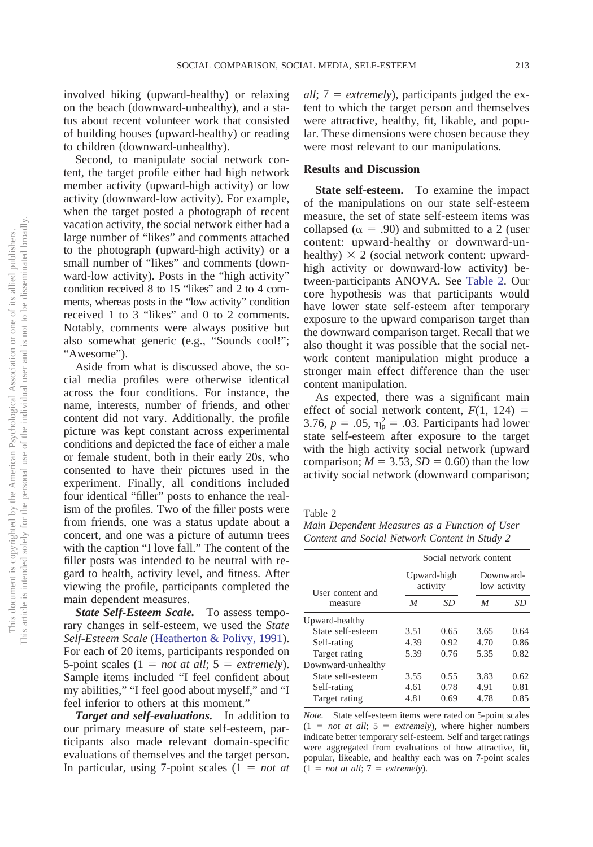involved hiking (upward-healthy) or relaxing on the beach (downward-unhealthy), and a status about recent volunteer work that consisted of building houses (upward-healthy) or reading to children (downward-unhealthy).

Second, to manipulate social network content, the target profile either had high network member activity (upward-high activity) or low activity (downward-low activity). For example, when the target posted a photograph of recent vacation activity, the social network either had a large number of "likes" and comments attached to the photograph (upward-high activity) or a small number of "likes" and comments (downward-low activity). Posts in the "high activity" condition received 8 to 15 "likes" and 2 to 4 comments, whereas posts in the "low activity" condition received 1 to 3 "likes" and 0 to 2 comments. Notably, comments were always positive but also somewhat generic (e.g., "Sounds cool!"; "Awesome").

Aside from what is discussed above, the social media profiles were otherwise identical across the four conditions. For instance, the name, interests, number of friends, and other content did not vary. Additionally, the profile picture was kept constant across experimental conditions and depicted the face of either a male or female student, both in their early 20s, who consented to have their pictures used in the experiment. Finally, all conditions included four identical "filler" posts to enhance the realism of the profiles. Two of the filler posts were from friends, one was a status update about a concert, and one was a picture of autumn trees with the caption "I love fall." The content of the filler posts was intended to be neutral with regard to health, activity level, and fitness. After viewing the profile, participants completed the main dependent measures.

*State Self-Esteem Scale.* To assess temporary changes in self-esteem, we used the *State Self-Esteem Scale* [\(Heatherton & Polivy, 1991\)](#page-15-10). For each of 20 items, participants responded on 5-point scales  $(1 = not at all; 5 = extremely)$ . Sample items included "I feel confident about my abilities," "I feel good about myself," and "I feel inferior to others at this moment."

*Target and self-evaluations.* In addition to our primary measure of state self-esteem, participants also made relevant domain-specific evaluations of themselves and the target person. In particular, using  $7$ -point scales  $(1 = not$ 

*all*; 7 = *extremely*), participants judged the extent to which the target person and themselves were attractive, healthy, fit, likable, and popular. These dimensions were chosen because they were most relevant to our manipulations.

# **Results and Discussion**

**State self-esteem.** To examine the impact of the manipulations on our state self-esteem measure, the set of state self-esteem items was collapsed ( $\alpha$  = .90) and submitted to a 2 (user content: upward-healthy or downward-unhealthy)  $\times$  2 (social network content: upwardhigh activity or downward-low activity) between-participants ANOVA. See [Table 2.](#page-7-0) Our core hypothesis was that participants would have lower state self-esteem after temporary exposure to the upward comparison target than the downward comparison target. Recall that we also thought it was possible that the social network content manipulation might produce a stronger main effect difference than the user content manipulation.

As expected, there was a significant main effect of social network content,  $F(1, 124)$  = 3.76,  $p = .05$ ,  $\eta_p^2 = .03$ . Participants had lower state self-esteem after exposure to the target with the high activity social network (upward comparison;  $M = 3.53$ ,  $SD = 0.60$ ) than the low activity social network (downward comparison;

<span id="page-7-0"></span>Table 2

*Main Dependent Measures as a Function of User Content and Social Network Content in Study 2*

|                    | Social network content  |      |                           |      |  |
|--------------------|-------------------------|------|---------------------------|------|--|
| User content and   | Upward-high<br>activity |      | Downward-<br>low activity |      |  |
| measure            | M                       | SD   | M                         | SD   |  |
| Upward-healthy     |                         |      |                           |      |  |
| State self-esteem  | 3.51                    | 0.65 | 3.65                      | 0.64 |  |
| Self-rating        | 4.39                    | 0.92 | 4.70                      | 0.86 |  |
| Target rating      | 5.39                    | 0.76 | 5.35                      | 0.82 |  |
| Downward-unhealthy |                         |      |                           |      |  |
| State self-esteem  | 3.55                    | 0.55 | 3.83                      | 0.62 |  |
| Self-rating        | 4.61                    | 0.78 | 4.91                      | 0.81 |  |
| Target rating      | 4.81                    | 0.69 | 4.78                      | 0.85 |  |

*Note.* State self-esteem items were rated on 5-point scales  $(1 = not at all; 5 = extremely)$ , where higher numbers indicate better temporary self-esteem. Self and target ratings were aggregated from evaluations of how attractive, fit, popular, likeable, and healthy each was on 7-point scales  $(1 = not at all; 7 = extremely).$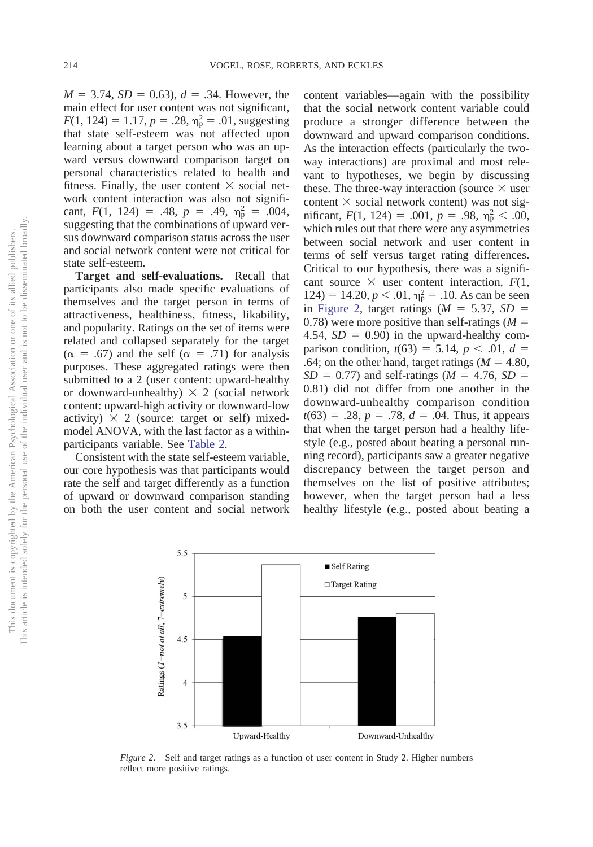$M = 3.74$ ,  $SD = 0.63$ ),  $d = .34$ . However, the main effect for user content was not significant,  $F(1, 124) = 1.17, p = .28, \eta_p^2 = .01$ , suggesting that state self-esteem was not affected upon learning about a target person who was an upward versus downward comparison target on personal characteristics related to health and fitness. Finally, the user content  $\times$  social network content interaction was also not significant,  $F(1, 124) = .48$ ,  $p = .49$ ,  $\eta_p^2 = .004$ , suggesting that the combinations of upward versus downward comparison status across the user and social network content were not critical for state self-esteem.

**Target and self-evaluations.** Recall that participants also made specific evaluations of themselves and the target person in terms of attractiveness, healthiness, fitness, likability, and popularity. Ratings on the set of items were related and collapsed separately for the target  $(\alpha = .67)$  and the self  $(\alpha = .71)$  for analysis purposes. These aggregated ratings were then submitted to a 2 (user content: upward-healthy or downward-unhealthy)  $\times$  2 (social network content: upward-high activity or downward-low activity)  $\times$  2 (source: target or self) mixedmodel ANOVA, with the last factor as a withinparticipants variable. See [Table 2.](#page-7-0)

Consistent with the state self-esteem variable, our core hypothesis was that participants would rate the self and target differently as a function of upward or downward comparison standing on both the user content and social network

content variables—again with the possibility that the social network content variable could produce a stronger difference between the downward and upward comparison conditions. As the interaction effects (particularly the twoway interactions) are proximal and most relevant to hypotheses, we begin by discussing these. The three-way interaction (source  $\times$  user content  $\times$  social network content) was not significant,  $F(1, 124) = .001$ ,  $p = .98$ ,  $\eta_p^2 < .00$ , which rules out that there were any asymmetries between social network and user content in terms of self versus target rating differences. Critical to our hypothesis, there was a significant source  $\times$  user content interaction,  $F(1,$  $124$ ) = 14.20,  $p < .01$ ,  $\eta_p^2 = .10$ . As can be seen in [Figure 2,](#page-8-0) target ratings  $(M = 5.37, SD =$ 0.78) were more positive than self-ratings  $(M =$ 4.54,  $SD = 0.90$ ) in the upward-healthy comparison condition,  $t(63) = 5.14$ ,  $p < .01$ ,  $d =$ .64; on the other hand, target ratings  $(M = 4.80)$ ,  $SD = 0.77$ ) and self-ratings ( $M = 4.76$ ,  $SD =$ 0.81) did not differ from one another in the downward-unhealthy comparison condition  $t(63) = .28, p = .78, d = .04$ . Thus, it appears that when the target person had a healthy lifestyle (e.g., posted about beating a personal running record), participants saw a greater negative discrepancy between the target person and themselves on the list of positive attributes; however, when the target person had a less healthy lifestyle (e.g., posted about beating a



<span id="page-8-0"></span>*Figure 2.* Self and target ratings as a function of user content in Study 2. Higher numbers reflect more positive ratings.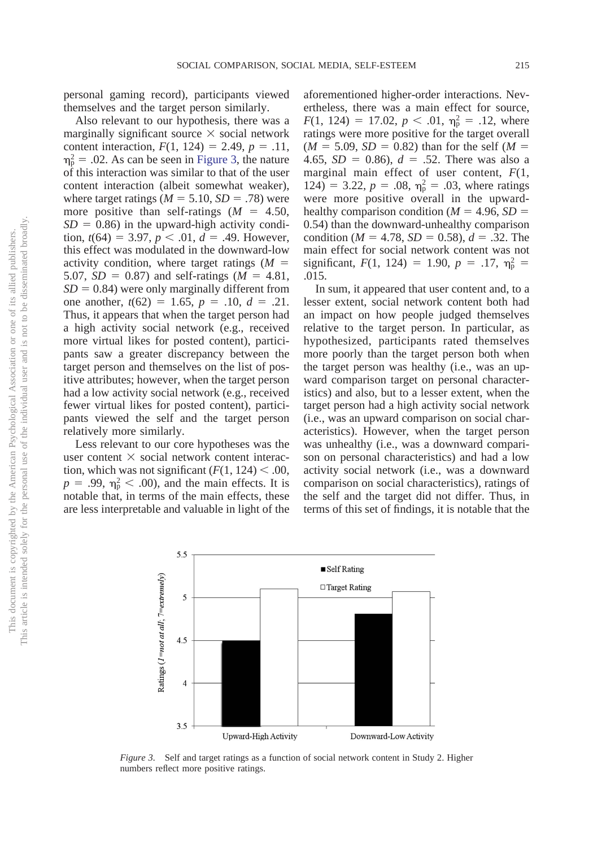personal gaming record), participants viewed themselves and the target person similarly.

Also relevant to our hypothesis, there was a marginally significant source  $\times$  social network content interaction,  $F(1, 124) = 2.49$ ,  $p = .11$ ,  $\eta_{\rm p}^2$  = .02. As can be seen in [Figure 3,](#page-9-0) the nature of this interaction was similar to that of the user content interaction (albeit somewhat weaker), where target ratings  $(M = 5.10, SD = .78)$  were more positive than self-ratings  $(M = 4.50)$ ,  $SD = 0.86$ ) in the upward-high activity condition,  $t(64) = 3.97$ ,  $p < .01$ ,  $d = .49$ . However, this effect was modulated in the downward-low activity condition, where target ratings  $(M =$ 5.07,  $SD = 0.87$ ) and self-ratings ( $M = 4.81$ ,  $SD = 0.84$ ) were only marginally different from one another,  $t(62) = 1.65$ ,  $p = .10$ ,  $d = .21$ . Thus, it appears that when the target person had a high activity social network (e.g., received more virtual likes for posted content), participants saw a greater discrepancy between the target person and themselves on the list of positive attributes; however, when the target person had a low activity social network (e.g., received fewer virtual likes for posted content), participants viewed the self and the target person relatively more similarly.

Less relevant to our core hypotheses was the user content  $\times$  social network content interaction, which was not significant  $(F(1, 124) < .00,$  $p = .99$ ,  $\eta_p^2 < .00$ ), and the main effects. It is notable that, in terms of the main effects, these are less interpretable and valuable in light of the

aforementioned higher-order interactions. Nevertheless, there was a main effect for source,  $F(1, 124) = 17.02, p < .01, \eta_{p}^{2} = .12$ , where ratings were more positive for the target overall  $(M = 5.09, SD = 0.82)$  than for the self  $(M = 10^{-10})$ 4.65,  $SD = 0.86$ ,  $d = .52$ . There was also a marginal main effect of user content, *F*(1, 124) = 3.22,  $p = .08$ ,  $\eta_{\rm p}^2 = .03$ , where ratings were more positive overall in the upwardhealthy comparison condition ( $M = 4.96$ ,  $SD =$ 0.54) than the downward-unhealthy comparison condition ( $M = 4.78$ ,  $SD = 0.58$ ),  $d = .32$ . The main effect for social network content was not significant,  $F(1, 124) = 1.90$ ,  $p = .17$ ,  $\eta_p^2 =$ .015.

In sum, it appeared that user content and, to a lesser extent, social network content both had an impact on how people judged themselves relative to the target person. In particular, as hypothesized, participants rated themselves more poorly than the target person both when the target person was healthy (i.e., was an upward comparison target on personal characteristics) and also, but to a lesser extent, when the target person had a high activity social network (i.e., was an upward comparison on social characteristics). However, when the target person was unhealthy (i.e., was a downward comparison on personal characteristics) and had a low activity social network (i.e., was a downward comparison on social characteristics), ratings of the self and the target did not differ. Thus, in terms of this set of findings, it is notable that the



<span id="page-9-0"></span>*Figure 3.* Self and target ratings as a function of social network content in Study 2. Higher numbers reflect more positive ratings.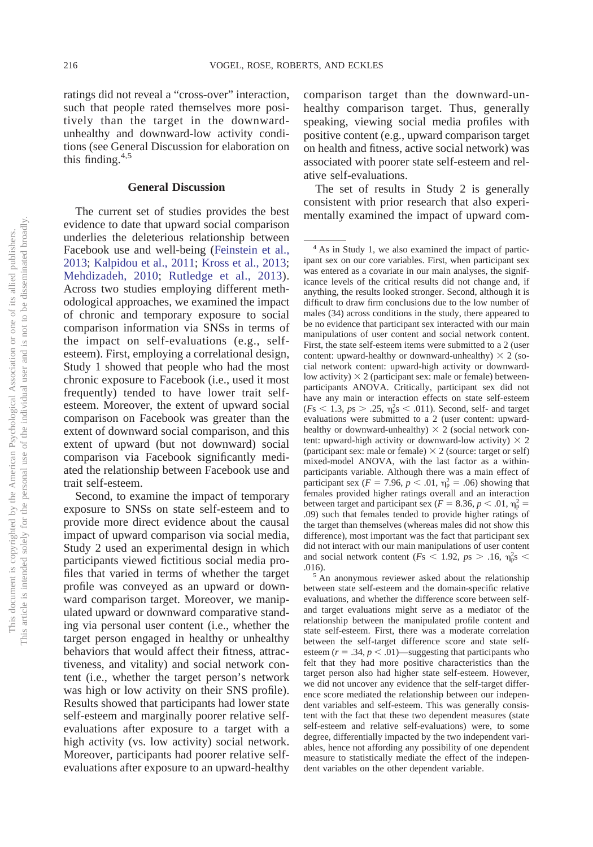ratings did not reveal a "cross-over" interaction, such that people rated themselves more positively than the target in the downwardunhealthy and downward-low activity conditions (see General Discussion for elaboration on this finding. $4,5$ 

# **General Discussion**

The current set of studies provides the best evidence to date that upward social comparison underlies the deleterious relationship between Facebook use and well-being [\(Feinstein et al.,](#page-14-11) [2013;](#page-14-11) [Kalpidou et al., 2011;](#page-15-11) [Kross et al., 2013;](#page-15-12) [Mehdizadeh, 2010;](#page-15-13) [Rutledge et al., 2013\)](#page-15-14). Across two studies employing different methodological approaches, we examined the impact of chronic and temporary exposure to social comparison information via SNSs in terms of the impact on self-evaluations (e.g., selfesteem). First, employing a correlational design, Study 1 showed that people who had the most chronic exposure to Facebook (i.e., used it most frequently) tended to have lower trait selfesteem. Moreover, the extent of upward social comparison on Facebook was greater than the extent of downward social comparison, and this extent of upward (but not downward) social comparison via Facebook significantly mediated the relationship between Facebook use and trait self-esteem.

Second, to examine the impact of temporary exposure to SNSs on state self-esteem and to provide more direct evidence about the causal impact of upward comparison via social media, Study 2 used an experimental design in which participants viewed fictitious social media profiles that varied in terms of whether the target profile was conveyed as an upward or downward comparison target. Moreover, we manipulated upward or downward comparative standing via personal user content (i.e., whether the target person engaged in healthy or unhealthy behaviors that would affect their fitness, attractiveness, and vitality) and social network content (i.e., whether the target person's network was high or low activity on their SNS profile). Results showed that participants had lower state self-esteem and marginally poorer relative selfevaluations after exposure to a target with a high activity (vs. low activity) social network. Moreover, participants had poorer relative selfevaluations after exposure to an upward-healthy comparison target than the downward-unhealthy comparison target. Thus, generally speaking, viewing social media profiles with positive content (e.g., upward comparison target on health and fitness, active social network) was associated with poorer state self-esteem and relative self-evaluations.

The set of results in Study 2 is generally consistent with prior research that also experimentally examined the impact of upward com-

between state self-esteem and the domain-specific relative evaluations, and whether the difference score between selfand target evaluations might serve as a mediator of the relationship between the manipulated profile content and state self-esteem. First, there was a moderate correlation between the self-target difference score and state selfesteem  $(r = .34, p < .01)$ —suggesting that participants who felt that they had more positive characteristics than the target person also had higher state self-esteem. However, we did not uncover any evidence that the self-target difference score mediated the relationship between our independent variables and self-esteem. This was generally consistent with the fact that these two dependent measures (state self-esteem and relative self-evaluations) were, to some degree, differentially impacted by the two independent variables, hence not affording any possibility of one dependent measure to statistically mediate the effect of the independent variables on the other dependent variable.

<sup>4</sup> As in Study 1, we also examined the impact of participant sex on our core variables. First, when participant sex was entered as a covariate in our main analyses, the significance levels of the critical results did not change and, if anything, the results looked stronger. Second, although it is difficult to draw firm conclusions due to the low number of males (34) across conditions in the study, there appeared to be no evidence that participant sex interacted with our main manipulations of user content and social network content. First, the state self-esteem items were submitted to a 2 (user content: upward-healthy or downward-unhealthy)  $\times$  2 (social network content: upward-high activity or downwardlow activity)  $\times$  2 (participant sex: male or female) betweenparticipants ANOVA. Critically, participant sex did not have any main or interaction effects on state self-esteem  $(Fs < 1.3, \text{ps} > .25, \eta_{\text{p}}^2 s < .011)$ . Second, self- and target evaluations were submitted to a 2 (user content: upwardhealthy or downward-unhealthy)  $\times$  2 (social network content: upward-high activity or downward-low activity)  $\times$  2 (participant sex: male or female)  $\times$  2 (source: target or self) mixed-model ANOVA, with the last factor as a withinparticipants variable. Although there was a main effect of participant sex ( $F = 7.96$ ,  $p < .01$ ,  $\eta_p^2 = .06$ ) showing that females provided higher ratings overall and an interaction between target and participant sex ( $F = 8.36, p < .01, \eta_{p}^{2} =$ .09) such that females tended to provide higher ratings of the target than themselves (whereas males did not show this difference), most important was the fact that participant sex did not interact with our main manipulations of user content and social network content ( $Fs < 1.92$ ,  $ps > .16$ ,  $\eta_{\rm p}^2$ s < .016).  $\frac{5 \text{ An anonymous reviewer asked about the relationship}}{5}$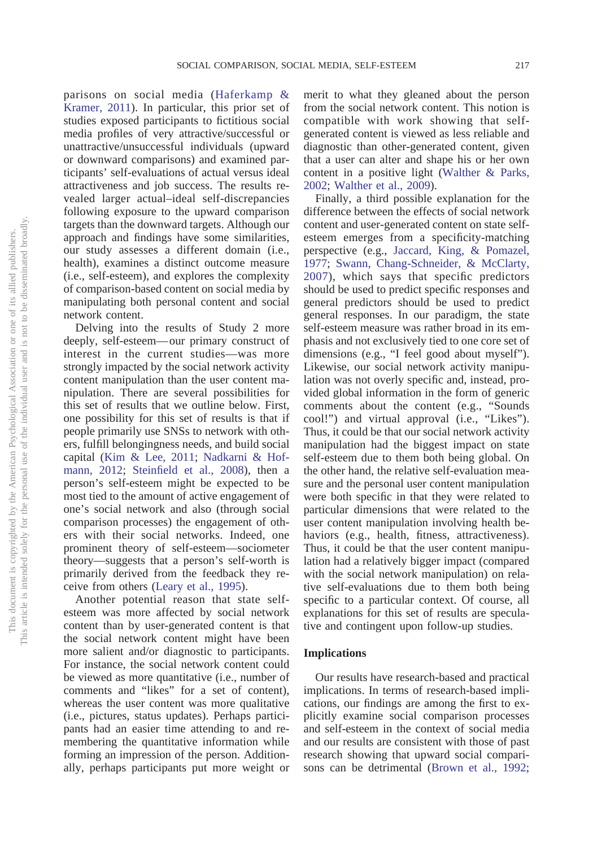parisons on social media [\(Haferkamp &](#page-14-2) [Kramer, 2011\)](#page-14-2). In particular, this prior set of studies exposed participants to fictitious social media profiles of very attractive/successful or unattractive/unsuccessful individuals (upward or downward comparisons) and examined participants' self-evaluations of actual versus ideal attractiveness and job success. The results revealed larger actual–ideal self-discrepancies following exposure to the upward comparison targets than the downward targets. Although our approach and findings have some similarities, our study assesses a different domain (i.e., health), examines a distinct outcome measure (i.e., self-esteem), and explores the complexity of comparison-based content on social media by manipulating both personal content and social network content.

Delving into the results of Study 2 more deeply, self-esteem— our primary construct of interest in the current studies—was more strongly impacted by the social network activity content manipulation than the user content manipulation. There are several possibilities for this set of results that we outline below. First, one possibility for this set of results is that if people primarily use SNSs to network with others, fulfill belongingness needs, and build social capital [\(Kim & Lee, 2011;](#page-15-7) [Nadkarni & Hof](#page-15-1)[mann, 2012;](#page-15-1) [Steinfield et al., 2008\)](#page-16-12), then a person's self-esteem might be expected to be most tied to the amount of active engagement of one's social network and also (through social comparison processes) the engagement of others with their social networks. Indeed, one prominent theory of self-esteem—sociometer theory—suggests that a person's self-worth is primarily derived from the feedback they receive from others [\(Leary et al., 1995\)](#page-15-9).

Another potential reason that state selfesteem was more affected by social network content than by user-generated content is that the social network content might have been more salient and/or diagnostic to participants. For instance, the social network content could be viewed as more quantitative (i.e., number of comments and "likes" for a set of content), whereas the user content was more qualitative (i.e., pictures, status updates). Perhaps participants had an easier time attending to and remembering the quantitative information while forming an impression of the person. Additionally, perhaps participants put more weight or

merit to what they gleaned about the person from the social network content. This notion is compatible with work showing that selfgenerated content is viewed as less reliable and diagnostic than other-generated content, given that a user can alter and shape his or her own content in a positive light [\(Walther & Parks,](#page-16-15) [2002;](#page-16-15) [Walther et al., 2009\)](#page-16-16).

Finally, a third possible explanation for the difference between the effects of social network content and user-generated content on state selfesteem emerges from a specificity-matching perspective (e.g., [Jaccard, King, & Pomazel,](#page-15-22) [1977;](#page-15-22) [Swann, Chang-Schneider, & McClarty,](#page-16-17) [2007\)](#page-16-17), which says that specific predictors should be used to predict specific responses and general predictors should be used to predict general responses. In our paradigm, the state self-esteem measure was rather broad in its emphasis and not exclusively tied to one core set of dimensions (e.g., "I feel good about myself"). Likewise, our social network activity manipulation was not overly specific and, instead, provided global information in the form of generic comments about the content (e.g., "Sounds cool!") and virtual approval (i.e., "Likes"). Thus, it could be that our social network activity manipulation had the biggest impact on state self-esteem due to them both being global. On the other hand, the relative self-evaluation measure and the personal user content manipulation were both specific in that they were related to particular dimensions that were related to the user content manipulation involving health behaviors (e.g., health, fitness, attractiveness). Thus, it could be that the user content manipulation had a relatively bigger impact (compared with the social network manipulation) on relative self-evaluations due to them both being specific to a particular context. Of course, all explanations for this set of results are speculative and contingent upon follow-up studies.

# **Implications**

Our results have research-based and practical implications. In terms of research-based implications, our findings are among the first to explicitly examine social comparison processes and self-esteem in the context of social media and our results are consistent with those of past research showing that upward social comparisons can be detrimental [\(Brown et al., 1992;](#page-14-13)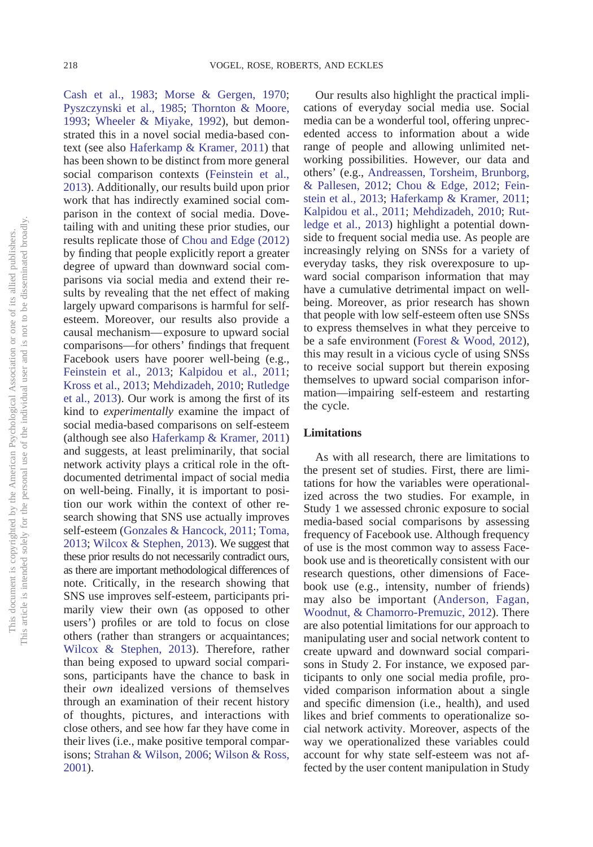[Cash et al., 1983;](#page-14-14) [Morse & Gergen, 1970;](#page-15-4) [Pyszczynski et al., 1985;](#page-15-5) [Thornton & Moore,](#page-16-9) [1993;](#page-16-9) [Wheeler & Miyake, 1992\)](#page-16-10), but demonstrated this in a novel social media-based context (see also [Haferkamp & Kramer, 2011\)](#page-14-2) that has been shown to be distinct from more general social comparison contexts [\(Feinstein et al.,](#page-14-11) [2013\)](#page-14-11). Additionally, our results build upon prior work that has indirectly examined social comparison in the context of social media. Dovetailing with and uniting these prior studies, our results replicate those of [Chou and Edge \(2012\)](#page-14-9) by finding that people explicitly report a greater degree of upward than downward social comparisons via social media and extend their results by revealing that the net effect of making largely upward comparisons is harmful for selfesteem. Moreover, our results also provide a causal mechanism— exposure to upward social comparisons—for others' findings that frequent Facebook users have poorer well-being (e.g., [Feinstein et al., 2013;](#page-14-11) [Kalpidou et al., 2011;](#page-15-11) [Kross et al., 2013;](#page-15-12) [Mehdizadeh, 2010;](#page-15-13) [Rutledge](#page-15-14) [et al., 2013\)](#page-15-14). Our work is among the first of its kind to *experimentally* examine the impact of social media-based comparisons on self-esteem (although see also [Haferkamp & Kramer, 2011\)](#page-14-2) and suggests, at least preliminarily, that social network activity plays a critical role in the oftdocumented detrimental impact of social media on well-being. Finally, it is important to position our work within the context of other research showing that SNS use actually improves self-esteem [\(Gonzales & Hancock, 2011;](#page-14-7) [Toma,](#page-16-18) [2013;](#page-16-18) [Wilcox & Stephen, 2013\)](#page-16-8). We suggest that these prior results do not necessarily contradict ours, as there are important methodological differences of note. Critically, in the research showing that SNS use improves self-esteem, participants primarily view their own (as opposed to other users') profiles or are told to focus on close others (rather than strangers or acquaintances; [Wilcox & Stephen, 2013\)](#page-16-8). Therefore, rather than being exposed to upward social comparisons, participants have the chance to bask in their *own* idealized versions of themselves through an examination of their recent history of thoughts, pictures, and interactions with close others, and see how far they have come in their lives (i.e., make positive temporal comparisons; [Strahan & Wilson, 2006;](#page-16-19) [Wilson & Ross,](#page-16-20) [2001\)](#page-16-20).

Our results also highlight the practical implications of everyday social media use. Social media can be a wonderful tool, offering unprecedented access to information about a wide range of people and allowing unlimited networking possibilities. However, our data and others' (e.g., [Andreassen, Torsheim, Brunborg,](#page-14-15) [& Pallesen, 2012;](#page-14-15) [Chou & Edge, 2012;](#page-14-9) [Fein](#page-14-11)[stein et al., 2013;](#page-14-11) [Haferkamp & Kramer, 2011;](#page-14-2) [Kalpidou et al., 2011;](#page-15-11) [Mehdizadeh, 2010;](#page-15-13) [Rut](#page-15-14)[ledge et al., 2013\)](#page-15-14) highlight a potential downside to frequent social media use. As people are increasingly relying on SNSs for a variety of everyday tasks, they risk overexposure to upward social comparison information that may have a cumulative detrimental impact on wellbeing. Moreover, as prior research has shown that people with low self-esteem often use SNSs to express themselves in what they perceive to be a safe environment [\(Forest & Wood, 2012\)](#page-14-12), this may result in a vicious cycle of using SNSs to receive social support but therein exposing themselves to upward social comparison information—impairing self-esteem and restarting the cycle.

# **Limitations**

As with all research, there are limitations to the present set of studies. First, there are limitations for how the variables were operationalized across the two studies. For example, in Study 1 we assessed chronic exposure to social media-based social comparisons by assessing frequency of Facebook use. Although frequency of use is the most common way to assess Facebook use and is theoretically consistent with our research questions, other dimensions of Facebook use (e.g., intensity, number of friends) may also be important [\(Anderson, Fagan,](#page-14-16) [Woodnut, & Chamorro-Premuzic, 2012\)](#page-14-16). There are also potential limitations for our approach to manipulating user and social network content to create upward and downward social comparisons in Study 2. For instance, we exposed participants to only one social media profile, provided comparison information about a single and specific dimension (i.e., health), and used likes and brief comments to operationalize social network activity. Moreover, aspects of the way we operationalized these variables could account for why state self-esteem was not affected by the user content manipulation in Study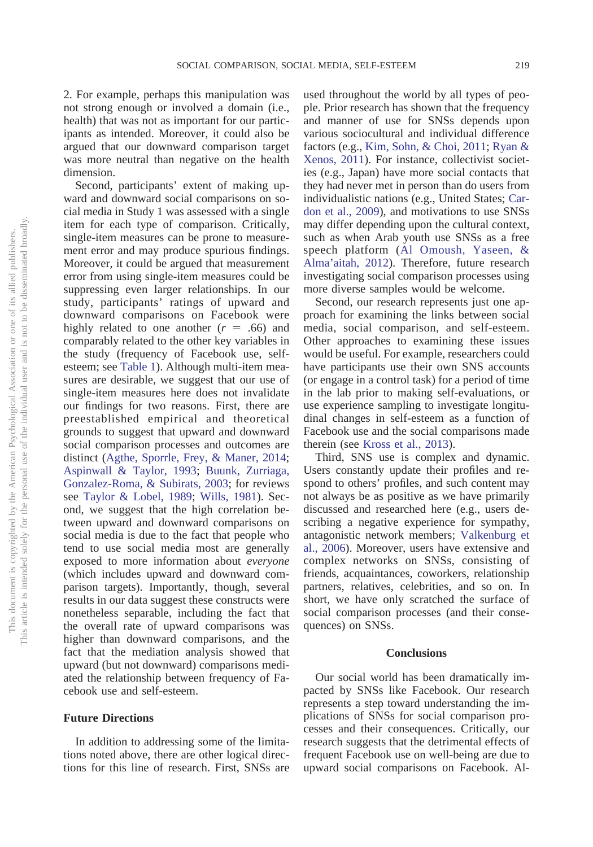2. For example, perhaps this manipulation was not strong enough or involved a domain (i.e., health) that was not as important for our participants as intended. Moreover, it could also be argued that our downward comparison target was more neutral than negative on the health dimension.

Second, participants' extent of making upward and downward social comparisons on social media in Study 1 was assessed with a single item for each type of comparison. Critically, single-item measures can be prone to measurement error and may produce spurious findings. Moreover, it could be argued that measurement error from using single-item measures could be suppressing even larger relationships. In our study, participants' ratings of upward and downward comparisons on Facebook were highly related to one another  $(r = .66)$  and comparably related to the other key variables in the study (frequency of Facebook use, selfesteem; see [Table 1\)](#page-4-0). Although multi-item measures are desirable, we suggest that our use of single-item measures here does not invalidate our findings for two reasons. First, there are preestablished empirical and theoretical grounds to suggest that upward and downward social comparison processes and outcomes are distinct [\(Agthe, Sporrle, Frey, & Maner, 2014;](#page-14-17) [Aspinwall & Taylor, 1993;](#page-14-18) [Buunk, Zurriaga,](#page-14-19) [Gonzalez-Roma, & Subirats, 2003;](#page-14-19) for reviews see [Taylor & Lobel, 1989;](#page-16-21) [Wills, 1981\)](#page-16-1). Second, we suggest that the high correlation between upward and downward comparisons on social media is due to the fact that people who tend to use social media most are generally exposed to more information about *everyone* (which includes upward and downward comparison targets). Importantly, though, several results in our data suggest these constructs were nonetheless separable, including the fact that the overall rate of upward comparisons was higher than downward comparisons, and the fact that the mediation analysis showed that upward (but not downward) comparisons mediated the relationship between frequency of Facebook use and self-esteem.

# **Future Directions**

In addition to addressing some of the limitations noted above, there are other logical directions for this line of research. First, SNSs are used throughout the world by all types of people. Prior research has shown that the frequency and manner of use for SNSs depends upon various sociocultural and individual difference factors (e.g., [Kim, Sohn, & Choi, 2011;](#page-15-23) [Ryan &](#page-16-22) [Xenos, 2011\)](#page-16-22). For instance, collectivist societies (e.g., Japan) have more social contacts that they had never met in person than do users from individualistic nations (e.g., United States; [Car](#page-14-20)[don et al., 2009\)](#page-14-20), and motivations to use SNSs may differ depending upon the cultural context, such as when Arab youth use SNSs as a free speech platform [\(Al Omoush, Yaseen, &](#page-14-21) [Alma'aitah, 2012\)](#page-14-21). Therefore, future research investigating social comparison processes using more diverse samples would be welcome.

Second, our research represents just one approach for examining the links between social media, social comparison, and self-esteem. Other approaches to examining these issues would be useful. For example, researchers could have participants use their own SNS accounts (or engage in a control task) for a period of time in the lab prior to making self-evaluations, or use experience sampling to investigate longitudinal changes in self-esteem as a function of Facebook use and the social comparisons made therein (see [Kross et al., 2013\)](#page-15-12).

Third, SNS use is complex and dynamic. Users constantly update their profiles and respond to others' profiles, and such content may not always be as positive as we have primarily discussed and researched here (e.g., users describing a negative experience for sympathy, antagonistic network members; [Valkenburg et](#page-16-14) [al., 2006\)](#page-16-14). Moreover, users have extensive and complex networks on SNSs, consisting of friends, acquaintances, coworkers, relationship partners, relatives, celebrities, and so on. In short, we have only scratched the surface of social comparison processes (and their consequences) on SNSs.

#### **Conclusions**

Our social world has been dramatically impacted by SNSs like Facebook. Our research represents a step toward understanding the implications of SNSs for social comparison processes and their consequences. Critically, our research suggests that the detrimental effects of frequent Facebook use on well-being are due to upward social comparisons on Facebook. Al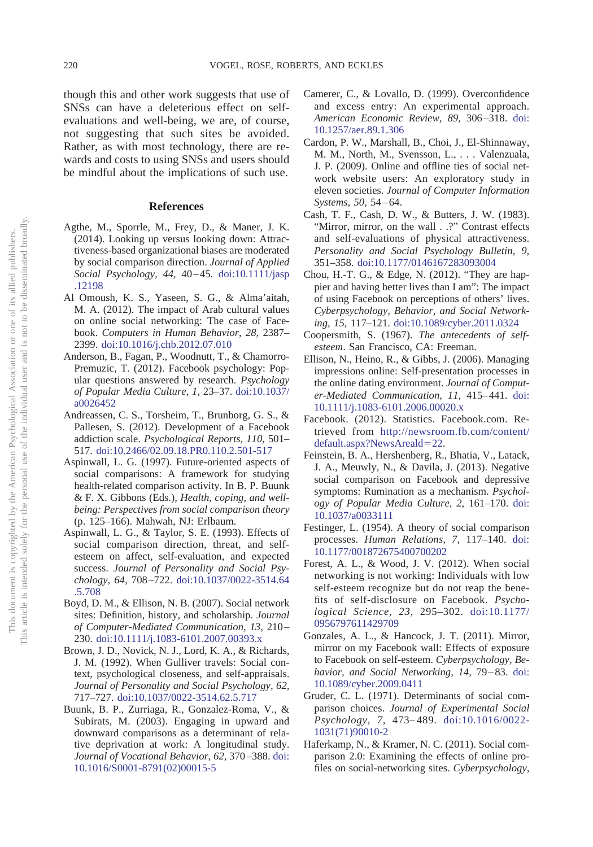though this and other work suggests that use of SNSs can have a deleterious effect on selfevaluations and well-being, we are, of course, not suggesting that such sites be avoided. Rather, as with most technology, there are rewards and costs to using SNSs and users should be mindful about the implications of such use.

# **References**

- <span id="page-14-17"></span>Agthe, M., Sporrle, M., Frey, D., & Maner, J. K. (2014). Looking up versus looking down: Attractiveness-based organizational biases are moderated by social comparison direction. *Journal of Applied Social Psychology, 44,* 40 – 45. [doi:10.1111/jasp](http://dx.doi.org/10.1111/jasp.12198) [.12198](http://dx.doi.org/10.1111/jasp.12198)
- <span id="page-14-21"></span>Al Omoush, K. S., Yaseen, S. G., & Alma'aitah, M. A. (2012). The impact of Arab cultural values on online social networking: The case of Facebook. *Computers in Human Behavior, 28,* 2387– 2399. [doi:10.1016/j.chb.2012.07.010](http://dx.doi.org/10.1016/j.chb.2012.07.010)
- <span id="page-14-16"></span>Anderson, B., Fagan, P., Woodnutt, T., & Chamorro-Premuzic, T. (2012). Facebook psychology: Popular questions answered by research. *Psychology of Popular Media Culture, 1,* 23–37. [doi:10.1037/](http://dx.doi.org/10.1037/a0026452) [a0026452](http://dx.doi.org/10.1037/a0026452)
- <span id="page-14-15"></span>Andreassen, C. S., Torsheim, T., Brunborg, G. S., & Pallesen, S. (2012). Development of a Facebook addiction scale. *Psychological Reports, 110,* 501– 517. [doi:10.2466/02.09.18.PR0.110.2.501-517](http://dx.doi.org/10.2466/02.09.18.PR0.110.2.501-517)
- <span id="page-14-6"></span>Aspinwall, L. G. (1997). Future-oriented aspects of social comparisons: A framework for studying health-related comparison activity. In B. P. Buunk & F. X. Gibbons (Eds.), *Health, coping, and wellbeing: Perspectives from social comparison theory* (p. 125–166). Mahwah, NJ: Erlbaum.
- <span id="page-14-18"></span>Aspinwall, L. G., & Taylor, S. E. (1993). Effects of social comparison direction, threat, and selfesteem on affect, self-evaluation, and expected success. *Journal of Personality and Social Psychology, 64,* 708 –722. [doi:10.1037/0022-3514.64](http://dx.doi.org/10.1037/0022-3514.64.5.708) [.5.708](http://dx.doi.org/10.1037/0022-3514.64.5.708)
- <span id="page-14-1"></span>Boyd, D. M., & Ellison, N. B. (2007). Social network sites: Definition, history, and scholarship. *Journal of Computer-Mediated Communication, 13,* 210 – 230. [doi:10.1111/j.1083-6101.2007.00393.x](http://dx.doi.org/10.1111/j.1083-6101.2007.00393.x)
- <span id="page-14-13"></span>Brown, J. D., Novick, N. J., Lord, K. A., & Richards, J. M. (1992). When Gulliver travels: Social context, psychological closeness, and self-appraisals. *Journal of Personality and Social Psychology, 62,* 717–727. [doi:10.1037/0022-3514.62.5.717](http://dx.doi.org/10.1037/0022-3514.62.5.717)
- <span id="page-14-19"></span>Buunk, B. P., Zurriaga, R., Gonzalez-Roma, V., & Subirats, M. (2003). Engaging in upward and downward comparisons as a determinant of relative deprivation at work: A longitudinal study. *Journal of Vocational Behavior, 62,* 370 –388. [doi:](http://dx.doi.org/10.1016/S0001-8791%2802%2900015-5) [10.1016/S0001-8791\(02\)00015-5](http://dx.doi.org/10.1016/S0001-8791%2802%2900015-5)
- <span id="page-14-5"></span>Camerer, C., & Lovallo, D. (1999). Overconfidence and excess entry: An experimental approach. *American Economic Review, 89,* 306 –318. [doi:](http://dx.doi.org/10.1257/aer.89.1.306) [10.1257/aer.89.1.306](http://dx.doi.org/10.1257/aer.89.1.306)
- <span id="page-14-20"></span>Cardon, P. W., Marshall, B., Choi, J., El-Shinnaway, M. M., North, M., Svensson, L.,... Valenzuala, J. P. (2009). Online and offline ties of social network website users: An exploratory study in eleven societies. *Journal of Computer Information Systems, 50,* 54 – 64.
- <span id="page-14-14"></span>Cash, T. F., Cash, D. W., & Butters, J. W. (1983). "Mirror, mirror, on the wall . .?" Contrast effects and self-evaluations of physical attractiveness. *Personality and Social Psychology Bulletin, 9,* 351–358. [doi:10.1177/0146167283093004](http://dx.doi.org/10.1177/0146167283093004)
- <span id="page-14-9"></span>Chou, H.-T. G., & Edge, N. (2012). "They are happier and having better lives than I am": The impact of using Facebook on perceptions of others' lives. *Cyberpsychology, Behavior, and Social Networking, 15,* 117–121. [doi:10.1089/cyber.2011.0324](http://dx.doi.org/10.1089/cyber.2011.0324)
- <span id="page-14-10"></span>Coopersmith, S. (1967). *The antecedents of selfesteem*. San Francisco, CA: Freeman.
- <span id="page-14-8"></span>Ellison, N., Heino, R., & Gibbs, J. (2006). Managing impressions online: Self-presentation processes in the online dating environment. *Journal of Computer-Mediated Communication, 11,* 415– 441. [doi:](http://dx.doi.org/10.1111/j.1083-6101.2006.00020.x) [10.1111/j.1083-6101.2006.00020.x](http://dx.doi.org/10.1111/j.1083-6101.2006.00020.x)
- <span id="page-14-0"></span>Facebook. (2012). Statistics. Facebook.com. Retrieved from [http://newsroom.fb.com/content/](http://newsroom.fb.com/content/default.aspx?NewsAreald=22) [default.aspx?NewsAreald](http://newsroom.fb.com/content/default.aspx?NewsAreald=22)=22.
- <span id="page-14-11"></span>Feinstein, B. A., Hershenberg, R., Bhatia, V., Latack, J. A., Meuwly, N., & Davila, J. (2013). Negative social comparison on Facebook and depressive symptoms: Rumination as a mechanism. *Psychology of Popular Media Culture, 2,* 161–170. [doi:](http://dx.doi.org/10.1037/a0033111) [10.1037/a0033111](http://dx.doi.org/10.1037/a0033111)
- <span id="page-14-3"></span>Festinger, L. (1954). A theory of social comparison processes. *Human Relations, 7,* 117–140. [doi:](http://dx.doi.org/10.1177/001872675400700202) [10.1177/001872675400700202](http://dx.doi.org/10.1177/001872675400700202)
- <span id="page-14-12"></span>Forest, A. L., & Wood, J. V. (2012). When social networking is not working: Individuals with low self-esteem recognize but do not reap the benefits of self-disclosure on Facebook. *Psychological Science, 23,* 295–302. [doi:10.1177/](http://dx.doi.org/10.1177/0956797611429709) [0956797611429709](http://dx.doi.org/10.1177/0956797611429709)
- <span id="page-14-7"></span>Gonzales, A. L., & Hancock, J. T. (2011). Mirror, mirror on my Facebook wall: Effects of exposure to Facebook on self-esteem. *Cyberpsychology, Behavior, and Social Networking, 14,* 79 – 83. [doi:](http://dx.doi.org/10.1089/cyber.2009.0411) [10.1089/cyber.2009.0411](http://dx.doi.org/10.1089/cyber.2009.0411)
- <span id="page-14-4"></span>Gruder, C. L. (1971). Determinants of social comparison choices. *Journal of Experimental Social Psychology, 7,* 473– 489. [doi:10.1016/0022-](http://dx.doi.org/10.1016/0022-1031%2871%2990010-2) [1031\(71\)90010-2](http://dx.doi.org/10.1016/0022-1031%2871%2990010-2)
- <span id="page-14-2"></span>Haferkamp, N., & Kramer, N. C. (2011). Social comparison 2.0: Examining the effects of online profiles on social-networking sites. *Cyberpsychology,*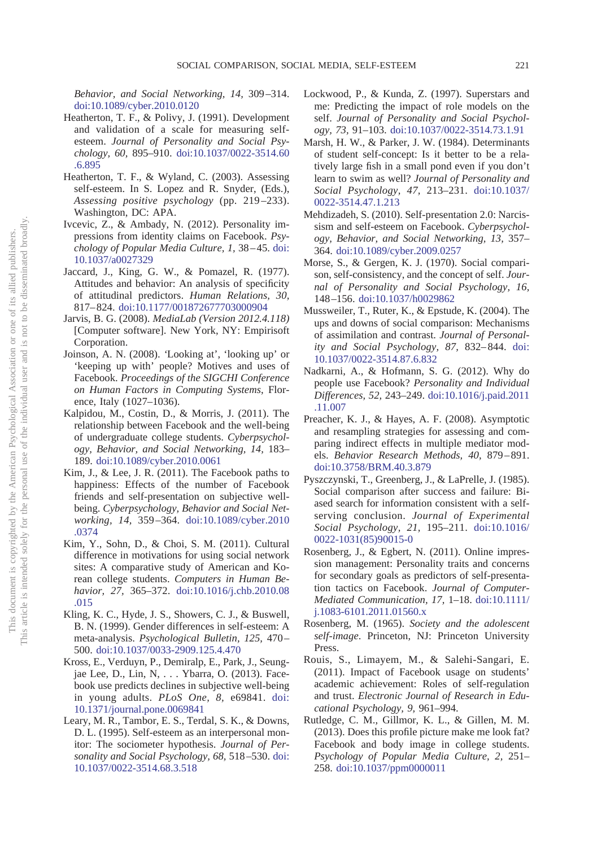*Behavior, and Social Networking, 14,* 309 –314. [doi:10.1089/cyber.2010.0120](http://dx.doi.org/10.1089/cyber.2010.0120)

- <span id="page-15-10"></span>Heatherton, T. F., & Polivy, J. (1991). Development and validation of a scale for measuring selfesteem. *Journal of Personality and Social Psychology, 60,* 895–910. [doi:10.1037/0022-3514.60](http://dx.doi.org/10.1037/0022-3514.60.6.895) [.6.895](http://dx.doi.org/10.1037/0022-3514.60.6.895)
- <span id="page-15-8"></span>Heatherton, T. F., & Wyland, C. (2003). Assessing self-esteem. In S. Lopez and R. Snyder, (Eds.), *Assessing positive psychology* (pp. 219 –233). Washington, DC: APA.
- <span id="page-15-0"></span>Ivcevic, Z., & Ambady, N. (2012). Personality impressions from identity claims on Facebook. *Psychology of Popular Media Culture, 1,* 38 – 45. [doi:](http://dx.doi.org/10.1037/a0027329) [10.1037/a0027329](http://dx.doi.org/10.1037/a0027329)
- <span id="page-15-22"></span>Jaccard, J., King, G. W., & Pomazel, R. (1977). Attitudes and behavior: An analysis of specificity of attitudinal predictors. *Human Relations, 30,* 817– 824. [doi:10.1177/001872677703000904](http://dx.doi.org/10.1177/001872677703000904)
- <span id="page-15-16"></span>Jarvis, B. G. (2008). *MediaLab (Version 2012.4.118)* [Computer software]. New York, NY: Empirisoft Corporation.
- <span id="page-15-20"></span>Joinson, A. N. (2008). *'*Looking at', 'looking up' or 'keeping up with' people? Motives and uses of Facebook. *Proceedings of the SIGCHI Conference on Human Factors in Computing Systems*, Florence, Italy (1027–1036).
- <span id="page-15-11"></span>Kalpidou, M., Costin, D., & Morris, J. (2011). The relationship between Facebook and the well-being of undergraduate college students. *Cyberpsychology, Behavior, and Social Networking, 14,* 183– 189. [doi:10.1089/cyber.2010.0061](http://dx.doi.org/10.1089/cyber.2010.0061)
- <span id="page-15-7"></span>Kim, J., & Lee, J. R. (2011). The Facebook paths to happiness: Effects of the number of Facebook friends and self-presentation on subjective wellbeing. *Cyberpsychology, Behavior and Social Networking, 14,* 359 –364. [doi:10.1089/cyber.2010](http://dx.doi.org/10.1089/cyber.2010.0374) [.0374](http://dx.doi.org/10.1089/cyber.2010.0374)
- <span id="page-15-23"></span>Kim, Y., Sohn, D., & Choi, S. M. (2011). Cultural difference in motivations for using social network sites: A comparative study of American and Korean college students. *Computers in Human Behavior, 27,* 365–372. [doi:10.1016/j.chb.2010.08](http://dx.doi.org/10.1016/j.chb.2010.08.015) [.015](http://dx.doi.org/10.1016/j.chb.2010.08.015)
- <span id="page-15-21"></span>Kling, K. C., Hyde, J. S., Showers, C. J., & Buswell, B. N. (1999). Gender differences in self-esteem: A meta-analysis. *Psychological Bulletin, 125,* 470 – 500. [doi:10.1037/0033-2909.125.4.470](http://dx.doi.org/10.1037/0033-2909.125.4.470)
- <span id="page-15-12"></span>Kross, E., Verduyn, P., Demiralp, E., Park, J., Seungjae Lee, D., Lin, N,... Ybarra, O. (2013). Facebook use predicts declines in subjective well-being in young adults. *PLoS One, 8,* e69841. [doi:](http://dx.doi.org/10.1371/journal.pone.0069841) [10.1371/journal.pone.0069841](http://dx.doi.org/10.1371/journal.pone.0069841)
- <span id="page-15-9"></span>Leary, M. R., Tambor, E. S., Terdal, S. K., & Downs, D. L. (1995). Self-esteem as an interpersonal monitor: The sociometer hypothesis. *Journal of Personality and Social Psychology, 68,* 518 –530. [doi:](http://dx.doi.org/10.1037/0022-3514.68.3.518) [10.1037/0022-3514.68.3.518](http://dx.doi.org/10.1037/0022-3514.68.3.518)
- <span id="page-15-2"></span>Lockwood, P., & Kunda, Z. (1997). Superstars and me: Predicting the impact of role models on the self. *Journal of Personality and Social Psychology, 73,* 91–103. [doi:10.1037/0022-3514.73.1.91](http://dx.doi.org/10.1037/0022-3514.73.1.91)
- <span id="page-15-3"></span>Marsh, H. W., & Parker, J. W. (1984). Determinants of student self-concept: Is it better to be a relatively large fish in a small pond even if you don't learn to swim as well? *Journal of Personality and Social Psychology, 47,* 213–231. [doi:10.1037/](http://dx.doi.org/10.1037/0022-3514.47.1.213) [0022-3514.47.1.213](http://dx.doi.org/10.1037/0022-3514.47.1.213)
- <span id="page-15-13"></span>Mehdizadeh, S. (2010). Self-presentation 2.0: Narcissism and self-esteem on Facebook. *Cyberpsychology, Behavior, and Social Networking, 13,* 357– 364. [doi:10.1089/cyber.2009.0257](http://dx.doi.org/10.1089/cyber.2009.0257)
- <span id="page-15-4"></span>Morse, S., & Gergen, K. J. (1970). Social comparison, self-consistency, and the concept of self. *Journal of Personality and Social Psychology, 16,* 148 –156. [doi:10.1037/h0029862](http://dx.doi.org/10.1037/h0029862)
- <span id="page-15-19"></span>Mussweiler, T., Ruter, K., & Epstude, K. (2004). The ups and downs of social comparison: Mechanisms of assimilation and contrast. *Journal of Personality and Social Psychology, 87,* 832– 844. [doi:](http://dx.doi.org/10.1037/0022-3514.87.6.832) [10.1037/0022-3514.87.6.832](http://dx.doi.org/10.1037/0022-3514.87.6.832)
- <span id="page-15-1"></span>Nadkarni, A., & Hofmann, S. G. (2012). Why do people use Facebook? *Personality and Individual Differences, 52,* 243–249. [doi:10.1016/j.paid.2011](http://dx.doi.org/10.1016/j.paid.2011.11.007) [.11.007](http://dx.doi.org/10.1016/j.paid.2011.11.007)
- <span id="page-15-18"></span>Preacher, K. J., & Hayes, A. F. (2008). Asymptotic and resampling strategies for assessing and comparing indirect effects in multiple mediator models. *Behavior Research Methods, 40,* 879 – 891. [doi:10.3758/BRM.40.3.879](http://dx.doi.org/10.3758/BRM.40.3.879)
- <span id="page-15-5"></span>Pyszczynski, T., Greenberg, J., & LaPrelle, J. (1985). Social comparison after success and failure: Biased search for information consistent with a selfserving conclusion. *Journal of Experimental Social Psychology, 21,* 195–211. [doi:10.1016/](http://dx.doi.org/10.1016/0022-1031%2885%2990015-0) [0022-1031\(85\)90015-0](http://dx.doi.org/10.1016/0022-1031%2885%2990015-0)
- <span id="page-15-6"></span>Rosenberg, J., & Egbert, N. (2011). Online impression management: Personality traits and concerns for secondary goals as predictors of self-presentation tactics on Facebook. *Journal of Computer-Mediated Communication, 17,* 1–18. [doi:10.1111/](http://dx.doi.org/10.1111/j.1083-6101.2011.01560.x) [j.1083-6101.2011.01560.x](http://dx.doi.org/10.1111/j.1083-6101.2011.01560.x)
- <span id="page-15-15"></span>Rosenberg, M. (1965). *Society and the adolescent self-image*. Princeton, NJ: Princeton University Press.
- <span id="page-15-17"></span>Rouis, S., Limayem, M., & Salehi-Sangari, E. (2011). Impact of Facebook usage on students' academic achievement: Roles of self-regulation and trust. *Electronic Journal of Research in Educational Psychology, 9,* 961–994.
- <span id="page-15-14"></span>Rutledge, C. M., Gillmor, K. L., & Gillen, M. M. (2013). Does this profile picture make me look fat? Facebook and body image in college students. *Psychology of Popular Media Culture, 2,* 251– 258. [doi:10.1037/ppm0000011](http://dx.doi.org/10.1037/ppm0000011)